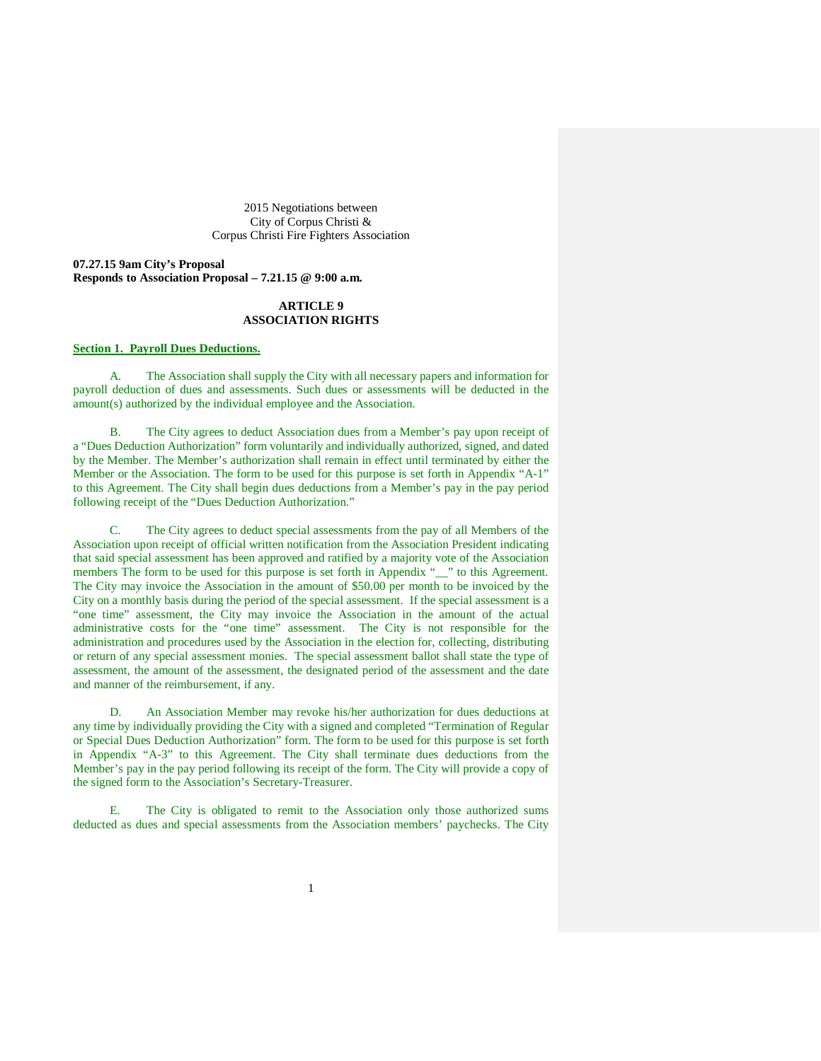2015 Negotiations between City of Corpus Christi & Corpus Christi Fire Fighters Association

**07.27.15 9am City's Proposal Responds to Association Proposal – 7.21.15 @ 9:00 a.m.**

## **ARTICLE 9 ASSOCIATION RIGHTS**

# **Section 1. Payroll Dues Deductions.**

A. The Association shall supply the City with all necessary papers and information for payroll deduction of dues and assessments. Such dues or assessments will be deducted in the amount(s) authorized by the individual employee and the Association.

B. The City agrees to deduct Association dues from a Member's pay upon receipt of a "Dues Deduction Authorization" form voluntarily and individually authorized, signed, and dated by the Member. The Member's authorization shall remain in effect until terminated by either the Member or the Association. The form to be used for this purpose is set forth in Appendix "A-1" to this Agreement. The City shall begin dues deductions from a Member's pay in the pay period following receipt of the "Dues Deduction Authorization."

C. The City agrees to deduct special assessments from the pay of all Members of the Association upon receipt of official written notification from the Association President indicating that said special assessment has been approved and ratified by a majority vote of the Association members The form to be used for this purpose is set forth in Appendix "\_\_" to this Agreement. The City may invoice the Association in the amount of \$50.00 per month to be invoiced by the City on a monthly basis during the period of the special assessment. If the special assessment is a "one time" assessment, the City may invoice the Association in the amount of the actual administrative costs for the "one time" assessment. The City is not responsible for the administration and procedures used by the Association in the election for, collecting, distributing or return of any special assessment monies. The special assessment ballot shall state the type of assessment, the amount of the assessment, the designated period of the assessment and the date and manner of the reimbursement, if any.

D. An Association Member may revoke his/her authorization for dues deductions at any time by individually providing the City with a signed and completed "Termination of Regular or Special Dues Deduction Authorization" form. The form to be used for this purpose is set forth in Appendix "A-3" to this Agreement. The City shall terminate dues deductions from the Member's pay in the pay period following its receipt of the form. The City will provide a copy of the signed form to the Association's Secretary-Treasurer.

E. The City is obligated to remit to the Association only those authorized sums deducted as dues and special assessments from the Association members' paychecks. The City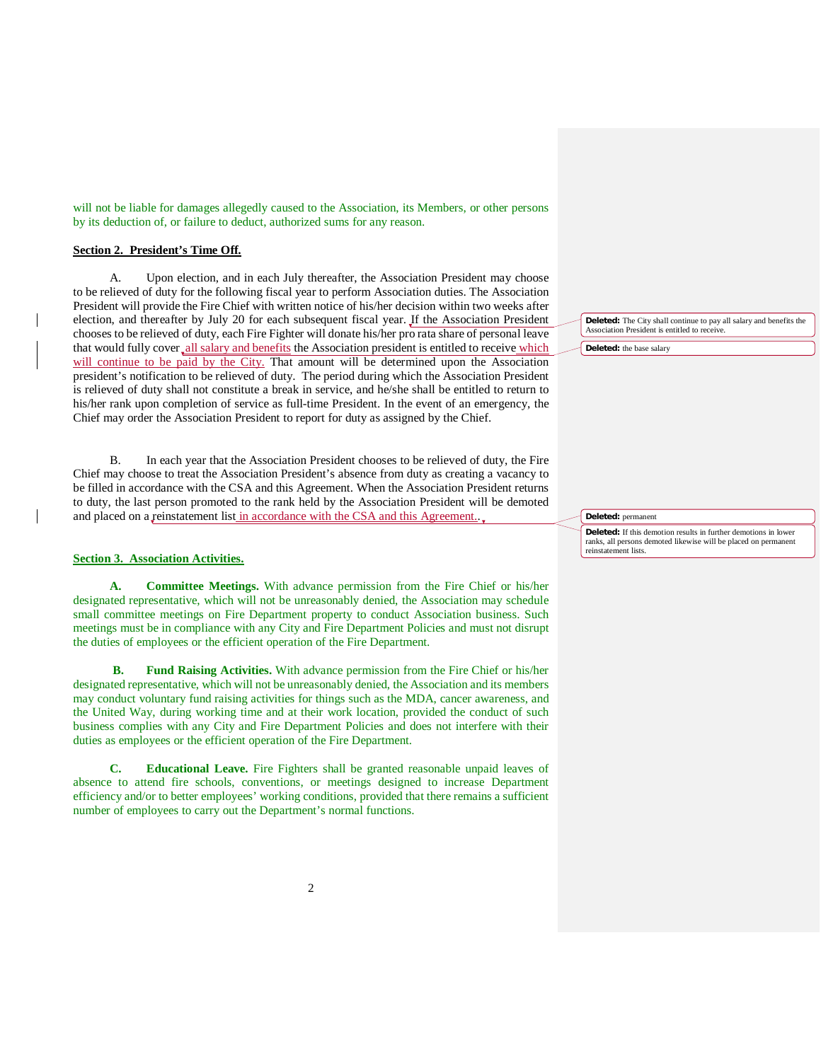will not be liable for damages allegedly caused to the Association, its Members, or other persons by its deduction of, or failure to deduct, authorized sums for any reason.

# **Section 2. President's Time Off.**

A. Upon election, and in each July thereafter, the Association President may choose to be relieved of duty for the following fiscal year to perform Association duties. The Association President will provide the Fire Chief with written notice of his/her decision within two weeks after election, and thereafter by July 20 for each subsequent fiscal year. If the Association President chooses to be relieved of duty, each Fire Fighter will donate his/her pro rata share of personal leave that would fully cover all salary and benefits the Association president is entitled to receive which will continue to be paid by the City. That amount will be determined upon the Association president's notification to be relieved of duty. The period during which the Association President is relieved of duty shall not constitute a break in service, and he/she shall be entitled to return to his/her rank upon completion of service as full-time President. In the event of an emergency, the Chief may order the Association President to report for duty as assigned by the Chief.

B. In each year that the Association President chooses to be relieved of duty, the Fire Chief may choose to treat the Association President's absence from duty as creating a vacancy to be filled in accordance with the CSA and this Agreement. When the Association President returns to duty, the last person promoted to the rank held by the Association President will be demoted and placed on a reinstatement list in accordance with the CSA and this Agreement..

## **Section 3. Association Activities.**

**A. Committee Meetings.** With advance permission from the Fire Chief or his/her designated representative, which will not be unreasonably denied, the Association may schedule small committee meetings on Fire Department property to conduct Association business. Such meetings must be in compliance with any City and Fire Department Policies and must not disrupt the duties of employees or the efficient operation of the Fire Department.

**B. Fund Raising Activities.** With advance permission from the Fire Chief or his/her designated representative, which will not be unreasonably denied, the Association and its members may conduct voluntary fund raising activities for things such as the MDA, cancer awareness, and the United Way, during working time and at their work location, provided the conduct of such business complies with any City and Fire Department Policies and does not interfere with their duties as employees or the efficient operation of the Fire Department.

**C. Educational Leave.** Fire Fighters shall be granted reasonable unpaid leaves of absence to attend fire schools, conventions, or meetings designed to increase Department efficiency and/or to better employees' working conditions, provided that there remains a sufficient number of employees to carry out the Department's normal functions.

**Deleted:** The City shall continue to pay all salary and benefits the Association President is entitled to receive.

**Deleted:** the base salary

**Deleted:** permanent

**Deleted:** If this demotion results in further demotions in lower ranks, all persons demoted likewise will be placed on permanent reinstatement lists.